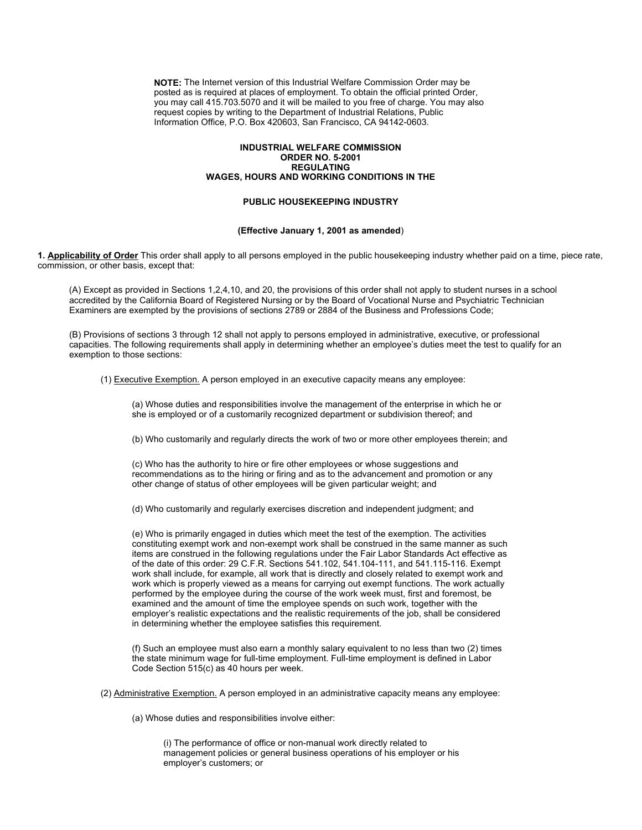**NOTE:** The Internet version of this Industrial Welfare Commission Order may be posted as is required at places of employment. To obtain the official printed Order, you may call 415.703.5070 and it will be mailed to you free of charge. You may also request copies by writing to the Department of Industrial Relations, Public Information Office, P.O. Box 420603, San Francisco, CA 94142-0603.

#### **INDUSTRIAL WELFARE COMMISSION ORDER NO. 5-2001 REGULATING WAGES, HOURS AND WORKING CONDITIONS IN THE**

#### **PUBLIC HOUSEKEEPING INDUSTRY**

### **(Effective January 1, 2001 as amended**)

 **1. Applicability of Order** This order shall apply to all persons employed in the public housekeeping industry whether paid on a time, piece rate, commission, or other basis, except that:

 (A) Except as provided in Sections 1,2,4,10, and 20, the provisions of this order shall not apply to student nurses in a school accredited by the California Board of Registered Nursing or by the Board of Vocational Nurse and Psychiatric Technician Examiners are exempted by the provisions of sections 2789 or 2884 of the Business and Professions Code;

 (B) Provisions of sections 3 through 12 shall not apply to persons employed in administrative, executive, or professional capacities. The following requirements shall apply in determining whether an employee's duties meet the test to qualify for an exemption to those sections:

(1) Executive Exemption. A person employed in an executive capacity means any employee:

 (a) Whose duties and responsibilities involve the management of the enterprise in which he or she is employed or of a customarily recognized department or subdivision thereof; and

(b) Who customarily and regularly directs the work of two or more other employees therein; and

 (c) Who has the authority to hire or fire other employees or whose suggestions and recommendations as to the hiring or firing and as to the advancement and promotion or any other change of status of other employees will be given particular weight; and

(d) Who customarily and regularly exercises discretion and independent judgment; and

 (e) Who is primarily engaged in duties which meet the test of the exemption. The activities constituting exempt work and non-exempt work shall be construed in the same manner as such of the date of this order: 29 C.F.R. Sections 541.102, 541.104-111, and 541.115-116. Exempt work shall include, for example, all work that is directly and closely related to exempt work and work which is properly viewed as a means for carrying out exempt functions. The work actually performed by the employee during the course of the work week must, first and foremost, be examined and the amount of time the employee spends on such work, together with the employer's realistic expectations and the realistic requirements of the job, shall be considered items are construed in the following regulations under the Fair Labor Standards Act effective as in determining whether the employee satisfies this requirement.

 (f) Such an employee must also earn a monthly salary equivalent to no less than two (2) times the state minimum wage for full-time employment. Full-time employment is defined in Labor Code Section 515(c) as 40 hours per week.

(2) Administrative Exemption. A person employed in an administrative capacity means any employee:

(a) Whose duties and responsibilities involve either:

 (a) Whose duties and responsibilities involve either: (i) The performance of office or non-manual work directly related to management policies or general business operations of his employer or his employer's customers; or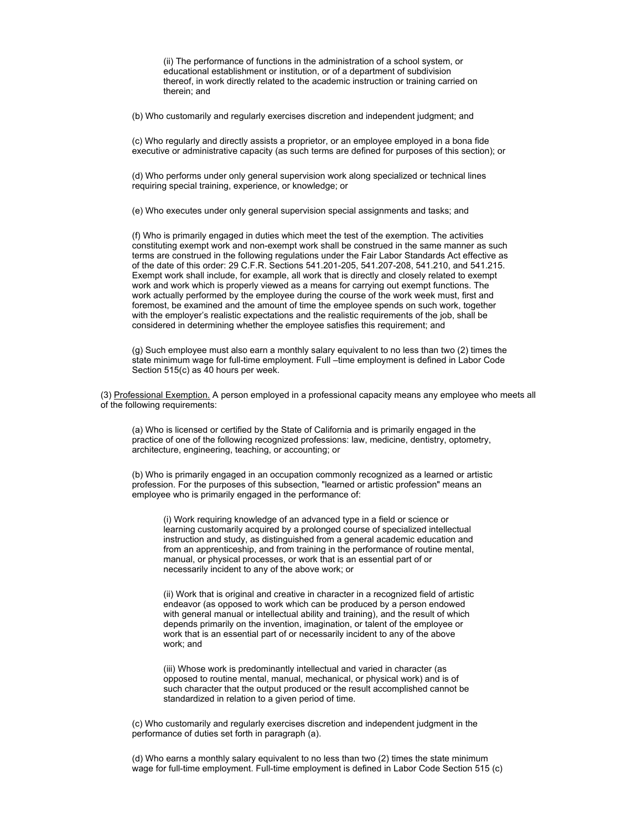(ii) The performance of functions in the administration of a school system, or educational establishment or institution, or of a department of subdivision thereof, in work directly related to the academic instruction or training carried on therein; and

(b) Who customarily and regularly exercises discretion and independent judgment; and

 executive or administrative capacity (as such terms are defined for purposes of this section); or (c) Who regularly and directly assists a proprietor, or an employee employed in a bona fide

(d) Who performs under only general supervision work along specialized or technical lines requiring special training, experience, or knowledge; or

(e) Who executes under only general supervision special assignments and tasks; and

 constituting exempt work and non-exempt work shall be construed in the same manner as such terms are construed in the following regulations under the Fair Labor Standards Act effective as of the date of this order: 29 C.F.R. Sections 541.201-205, 541.207-208, 541.210, and 541.215. Exempt work shall include, for example, all work that is directly and closely related to exempt work and work which is properly viewed as a means for carrying out exempt functions. The work actually performed by the employee during the course of the work week must, first and foremost, be examined and the amount of time the employee spends on such work, together (f) Who is primarily engaged in duties which meet the test of the exemption. The activities with the employer's realistic expectations and the realistic requirements of the job, shall be considered in determining whether the employee satisfies this requirement; and

 state minimum wage for full-time employment. Full –time employment is defined in Labor Code (g) Such employee must also earn a monthly salary equivalent to no less than two (2) times the Section 515(c) as 40 hours per week.

(3) Professional Exemption. A person employed in a professional capacity means any employee who meets all of the following requirements:

 (a) Who is licensed or certified by the State of California and is primarily engaged in the practice of one of the following recognized professions: law, medicine, dentistry, optometry, architecture, engineering, teaching, or accounting; or

 (b) Who is primarily engaged in an occupation commonly recognized as a learned or artistic profession. For the purposes of this subsection, "learned or artistic profession" means an employee who is primarily engaged in the performance of:

 from an apprenticeship, and from training in the performance of routine mental, manual, or physical processes, or work that is an essential part of or (i) Work requiring knowledge of an advanced type in a field or science or learning customarily acquired by a prolonged course of specialized intellectual instruction and study, as distinguished from a general academic education and necessarily incident to any of the above work; or

 (ii) Work that is original and creative in character in a recognized field of artistic endeavor (as opposed to work which can be produced by a person endowed with general manual or intellectual ability and training), and the result of which work that is an essential part of or necessarily incident to any of the above depends primarily on the invention, imagination, or talent of the employee or work; and

 opposed to routine mental, manual, mechanical, or physical work) and is of (iii) Whose work is predominantly intellectual and varied in character (as such character that the output produced or the result accomplished cannot be standardized in relation to a given period of time.

(c) Who customarily and regularly exercises discretion and independent judgment in the performance of duties set forth in paragraph (a).

 wage for full-time employment. Full-time employment is defined in Labor Code Section 515 (c) (d) Who earns a monthly salary equivalent to no less than two (2) times the state minimum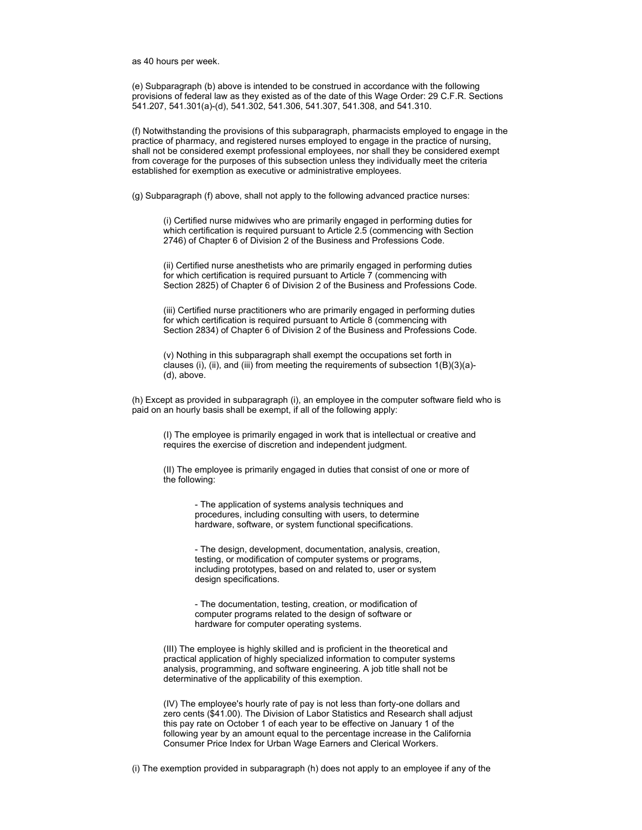as 40 hours per week.

 provisions of federal law as they existed as of the date of this Wage Order: 29 C.F.R. Sections (e) Subparagraph (b) above is intended to be construed in accordance with the following 541.207, 541.301(a)-(d), 541.302, 541.306, 541.307, 541.308, and 541.310.

(f) Notwithstanding the provisions of this subparagraph, pharmacists employed to engage in the practice of pharmacy, and registered nurses employed to engage in the practice of nursing, shall not be considered exempt professional employees, nor shall they be considered exempt from coverage for the purposes of this subsection unless they individually meet the criteria established for exemption as executive or administrative employees.

(g) Subparagraph (f) above, shall not apply to the following advanced practice nurses:

 which certification is required pursuant to Article 2.5 (commencing with Section (i) Certified nurse midwives who are primarily engaged in performing duties for 2746) of Chapter 6 of Division 2 of the Business and Professions Code.

Section 2825) of Chapter 6 of Division 2 of the Business and Professions Code. (ii) Certified nurse anesthetists who are primarily engaged in performing duties for which certification is required pursuant to Article 7 (commencing with

(iii) Certified nurse practitioners who are primarily engaged in performing duties for which certification is required pursuant to Article 8 (commencing with Section 2834) of Chapter 6 of Division 2 of the Business and Professions Code.

 (v) Nothing in this subparagraph shall exempt the occupations set forth in clauses (i), (ii), and (iii) from meeting the requirements of subsection 1(B)(3)(a) (d), above.

 (h) Except as provided in subparagraph (i), an employee in the computer software field who is paid on an hourly basis shall be exempt, if all of the following apply:

requires the exercise of discretion and independent judgment. requires the exercise of discretion and independent judgment.<br>(II) The employee is primarily engaged in duties that consist of one or more of (I) The employee is primarily engaged in work that is intellectual or creative and

the following:

- The application of systems analysis techniques and procedures, including consulting with users, to determine hardware, software, or system functional specifications.

 including prototypes, based on and related to, user or system - The design, development, documentation, analysis, creation, testing, or modification of computer systems or programs, design specifications.

 - The documentation, testing, creation, or modification of computer programs related to the design of software or hardware for computer operating systems.

(III) The employee is highly skilled and is proficient in the theoretical and practical application of highly specialized information to computer systems analysis, programming, and software engineering. A job title shall not be determinative of the applicability of this exemption.

 (IV) The employee's hourly rate of pay is not less than forty-one dollars and Consumer Price Index for Urban Wage Earners and Clerical Workers. zero cents (\$41.00). The Division of Labor Statistics and Research shall adjust this pay rate on October 1 of each year to be effective on January 1 of the following year by an amount equal to the percentage increase in the California

(i) The exemption provided in subparagraph (h) does not apply to an employee if any of the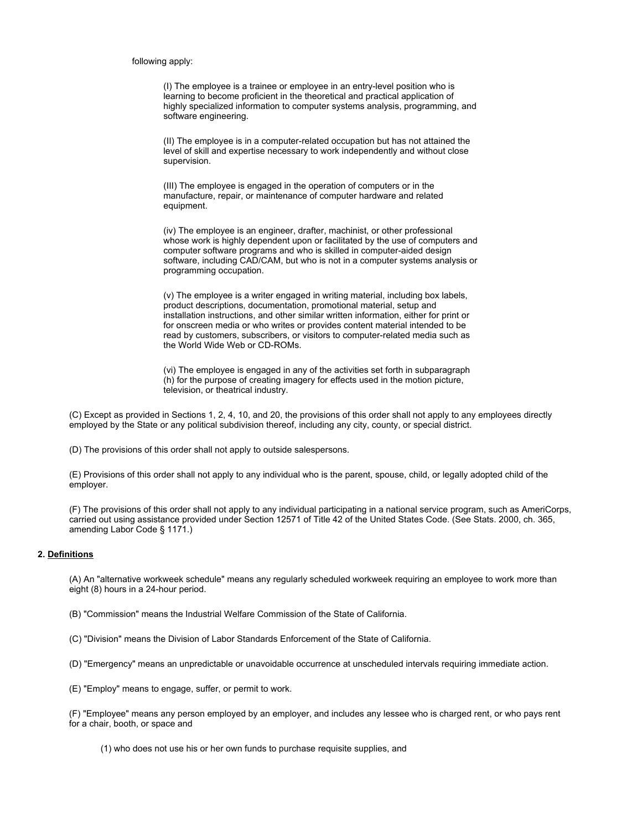following apply:

 (I) The employee is a trainee or employee in an entry-level position who is learning to become proficient in the theoretical and practical application of highly specialized information to computer systems analysis, programming, and software engineering.

 (II) The employee is in a computer-related occupation but has not attained the level of skill and expertise necessary to work independently and without close supervision.

 manufacture, repair, or maintenance of computer hardware and related (III) The employee is engaged in the operation of computers or in the equipment.

 (iv) The employee is an engineer, drafter, machinist, or other professional whose work is highly dependent upon or facilitated by the use of computers and computer software programs and who is skilled in computer-aided design software, including CAD/CAM, but who is not in a computer systems analysis or programming occupation.

 installation instructions, and other similar written information, either for print or for onscreen media or who writes or provides content material intended to be the World Wide Web or CD-ROMs. (v) The employee is a writer engaged in writing material, including box labels, product descriptions, documentation, promotional material, setup and read by customers, subscribers, or visitors to computer-related media such as

 (vi) The employee is engaged in any of the activities set forth in subparagraph (h) for the purpose of creating imagery for effects used in the motion picture, television, or theatrical industry.

 (C) Except as provided in Sections 1, 2, 4, 10, and 20, the provisions of this order shall not apply to any employees directly employed by the State or any political subdivision thereof, including any city, county, or special district.

(D) The provisions of this order shall not apply to outside salespersons.

 (E) Provisions of this order shall not apply to any individual who is the parent, spouse, child, or legally adopted child of the employer.

employer.<br>(F) The provisions of this order shall not apply to any individual participating in a national service program, such as AmeriCorps, carried out using assistance provided under Section 12571 of Title 42 of the United States Code. (See Stats. 2000, ch. 365, amending Labor Code § 1171.)

## **2. Definitions**

 (A) An "alternative workweek schedule" means any regularly scheduled workweek requiring an employee to work more than eight (8) hours in a 24-hour period.

(B) "Commission" means the Industrial Welfare Commission of the State of California.

(C) "Division" means the Division of Labor Standards Enforcement of the State of California.

(D) "Emergency" means an unpredictable or unavoidable occurrence at unscheduled intervals requiring immediate action.

(E) "Employ" means to engage, suffer, or permit to work.

(F) "Employee" means any person employed by an employer, and includes any lessee who is charged rent, or who pays rent for a chair, booth, or space and

(1) who does not use his or her own funds to purchase requisite supplies, and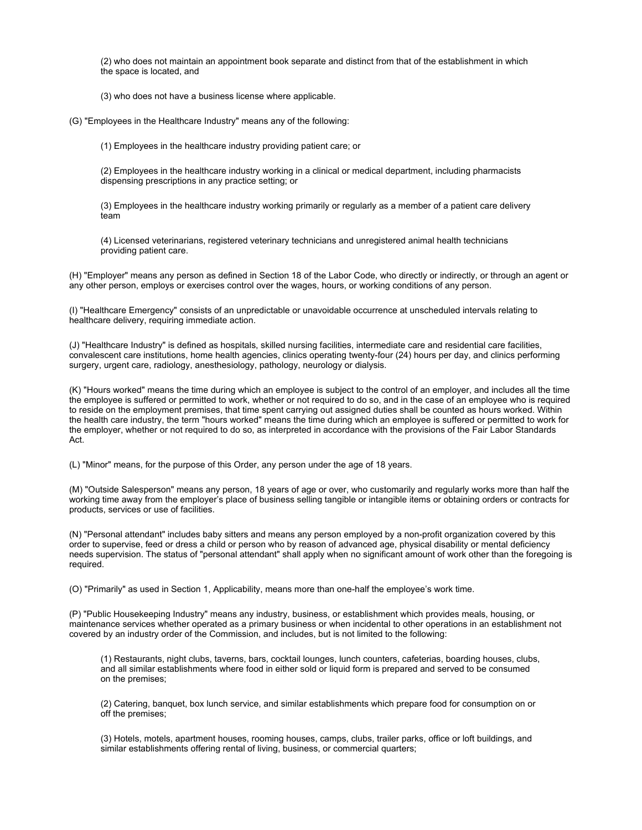(2) who does not maintain an appointment book separate and distinct from that of the establishment in which the space is located, and

(3) who does not have a business license where applicable.

(G) "Employees in the Healthcare Industry" means any of the following:

(1) Employees in the healthcare industry providing patient care; or

 (2) Employees in the healthcare industry working in a clinical or medical department, including pharmacists dispensing prescriptions in any practice setting; or

 (3) Employees in the healthcare industry working primarily or regularly as a member of a patient care delivery team

(4) Licensed veterinarians, registered veterinary technicians and unregistered animal health technicians providing patient care.

 (H) "Employer" means any person as defined in Section 18 of the Labor Code, who directly or indirectly, or through an agent or any other person, employs or exercises control over the wages, hours, or working conditions of any person.

any other person, employs or exercises control over the wages, hours, or working conditions of any person.<br>(I) "Healthcare Emergency" consists of an unpredictable or unavoidable occurrence at unscheduled intervals relating healthcare delivery, requiring immediate action.

 (J) "Healthcare Industry" is defined as hospitals, skilled nursing facilities, intermediate care and residential care facilities, convalescent care institutions, home health agencies, clinics operating twenty-four (24) hours per day, and clinics performing surgery, urgent care, radiology, anesthesiology, pathology, neurology or dialysis.

 (K) "Hours worked" means the time during which an employee is subject to the control of an employer, and includes all the time to reside on the employment premises, that time spent carrying out assigned duties shall be counted as hours worked. Within the employer, whether or not required to do so, as interpreted in accordance with the provisions of the Fair Labor Standards the employee is suffered or permitted to work, whether or not required to do so, and in the case of an employee who is required the health care industry, the term "hours worked" means the time during which an employee is suffered or permitted to work for Act.

(L) "Minor" means, for the purpose of this Order, any person under the age of 18 years.

 (M) "Outside Salesperson" means any person, 18 years of age or over, who customarily and regularly works more than half the working time away from the employer's place of business selling tangible or intangible items or obtaining orders or contracts for products, services or use of facilities.

(N) "Personal attendant" includes baby sitters and means any person employed by a non-profit organization covered by this order to supervise, feed or dress a child or person who by reason of advanced age, physical disability or mental deficiency needs supervision. The status of "personal attendant" shall apply when no significant amount of work other than the foregoing is required.

(O) "Primarily" as used in Section 1, Applicability, means more than one-half the employee's work time.

 (P) "Public Housekeeping Industry" means any industry, business, or establishment which provides meals, housing, or maintenance services whether operated as a primary business or when incidental to other operations in an establishment not covered by an industry order of the Commission, and includes, but is not limited to the following:

 (1) Restaurants, night clubs, taverns, bars, cocktail lounges, lunch counters, cafeterias, boarding houses, clubs, and all similar establishments where food in either sold or liquid form is prepared and served to be consumed on the premises;

 (2) Catering, banquet, box lunch service, and similar establishments which prepare food for consumption on or off the premises;

 (3) Hotels, motels, apartment houses, rooming houses, camps, clubs, trailer parks, office or loft buildings, and similar establishments offering rental of living, business, or commercial quarters;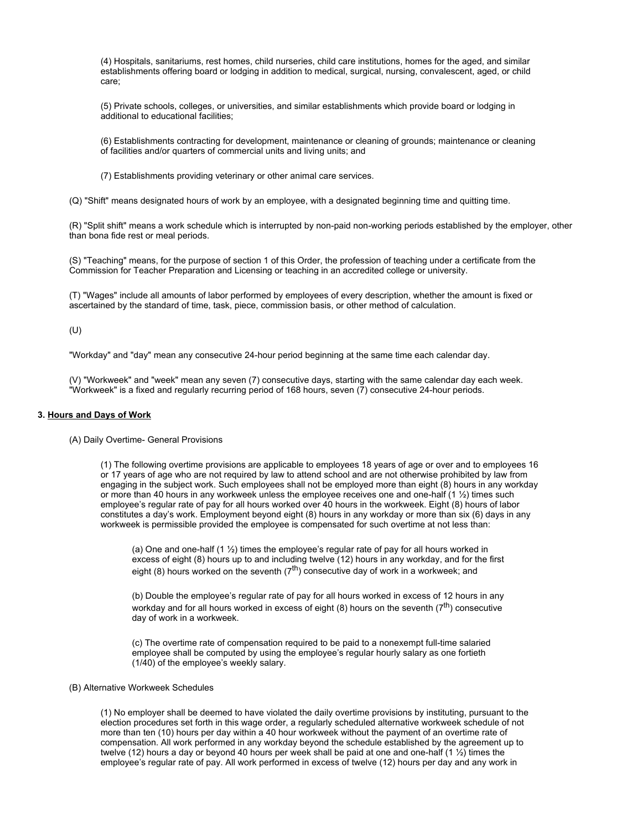(4) Hospitals, sanitariums, rest homes, child nurseries, child care institutions, homes for the aged, and similar establishments offering board or lodging in addition to medical, surgical, nursing, convalescent, aged, or child care;

 (5) Private schools, colleges, or universities, and similar establishments which provide board or lodging in additional to educational facilities;

 of facilities and/or quarters of commercial units and living units; and (6) Establishments contracting for development, maintenance or cleaning of grounds; maintenance or cleaning

(7) Establishments providing veterinary or other animal care services.

(Q) "Shift" means designated hours of work by an employee, with a designated beginning time and quitting time.

 (R) "Split shift" means a work schedule which is interrupted by non-paid non-working periods established by the employer, other than bona fide rest or meal periods.

 (S) "Teaching" means, for the purpose of section 1 of this Order, the profession of teaching under a certificate from the Commission for Teacher Preparation and Licensing or teaching in an accredited college or university.

 (T) "Wages" include all amounts of labor performed by employees of every description, whether the amount is fixed or ascertained by the standard of time, task, piece, commission basis, or other method of calculation.

(U)

"Workday" and "day" mean any consecutive 24-hour period beginning at the same time each calendar day.

 "Workweek" is a fixed and regularly recurring period of 168 hours, seven (7) consecutive 24-hour periods. (V) "Workweek" and "week" mean any seven (7) consecutive days, starting with the same calendar day each week.

#### **3. Hours and Days of Work**

(A) Daily Overtime- General Provisions

(A) Daily Overtime- General Provisions<br>(1) The following overtime provisions are applicable to employees 18 years of age or over and to employees 16 or 17 years of age who are not required by law to attend school and are not otherwise prohibited by law from engaging in the subject work. Such employees shall not be employed more than eight (8) hours in any workday or more than 40 hours in any workweek unless the employee receives one and one-half (1 ½) times such employee's regular rate of pay for all hours worked over 40 hours in the workweek. Eight (8) hours of labor constitutes a day's work. Employment beyond eight (8) hours in any workday or more than six (6) days in any workweek is permissible provided the employee is compensated for such overtime at not less than:

> (a) One and one-half (1 ½) times the employee's regular rate of pay for all hours worked in excess of eight (8) hours up to and including twelve (12) hours in any workday, and for the first eight (8) hours worked on the seventh  $(7<sup>th</sup>)$  consecutive day of work in a workweek; and

> (b) Double the employee's regular rate of pay for all hours worked in excess of 12 hours in any workday and for all hours worked in excess of eight (8) hours on the seventh ( $7<sup>th</sup>$ ) consecutive day of work in a workweek.

 employee shall be computed by using the employee's regular hourly salary as one fortieth (1/40) of the employee's weekly salary. (c) The overtime rate of compensation required to be paid to a nonexempt full-time salaried

#### (B) Alternative Workweek Schedules

 (1) No employer shall be deemed to have violated the daily overtime provisions by instituting, pursuant to the more than ten (10) hours per day within a 40 hour workweek without the payment of an overtime rate of twelve (12) hours a day or beyond 40 hours per week shall be paid at one and one-half (1 ½) times the employee's regular rate of pay. All work performed in excess of twelve (12) hours per day and any work in election procedures set forth in this wage order, a regularly scheduled alternative workweek schedule of not compensation. All work performed in any workday beyond the schedule established by the agreement up to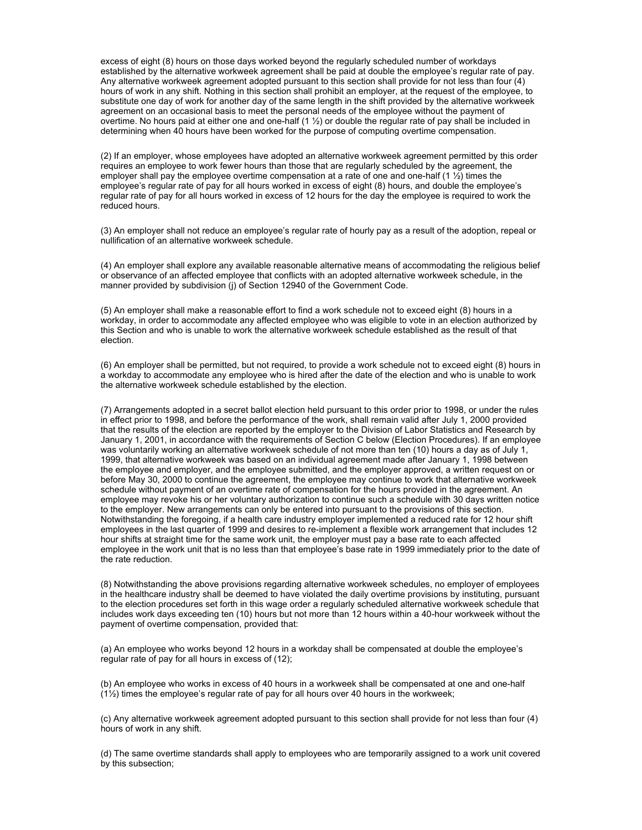excess of eight (8) hours on those days worked beyond the regularly scheduled number of workdays established by the alternative workweek agreement shall be paid at double the employee's regular rate of pay. Any alternative workweek agreement adopted pursuant to this section shall provide for not less than four (4) hours of work in any shift. Nothing in this section shall prohibit an employer, at the request of the employee, to substitute one day of work for another day of the same length in the shift provided by the alternative workweek overtime. No hours paid at either one and one-half  $(1 \frac{1}{2})$  or double the regular rate of pay shall be included in determining when 40 hours have been worked for the purpose of computing overtime compensation. determining when 40 hours have been worked for the purpose of computing overtime compensation.<br>(2) If an employer, whose employees have adopted an alternative workweek agreement permitted by this order agreement on an occasional basis to meet the personal needs of the employee without the payment of

 employer shall pay the employee overtime compensation at a rate of one and one-half (1 ½) times the employee's regular rate of pay for all hours worked in excess of eight (8) hours, and double the employee's regular rate of pay for all hours worked in excess of 12 hours for the day the employee is required to work the requires an employee to work fewer hours than those that are regularly scheduled by the agreement, the reduced hours.

(3) An employer shall not reduce an employee's regular rate of hourly pay as a result of the adoption, repeal or nullification of an alternative workweek schedule.

(4) An employer shall explore any available reasonable alternative means of accommodating the religious belief or observance of an affected employee that conflicts with an adopted alternative workweek schedule, in the manner provided by subdivision (j) of Section 12940 of the Government Code.

 (5) An employer shall make a reasonable effort to find a work schedule not to exceed eight (8) hours in a this Section and who is unable to work the alternative workweek schedule established as the result of that workday, in order to accommodate any affected employee who was eligible to vote in an election authorized by election.

 a workday to accommodate any employee who is hired after the date of the election and who is unable to work (6) An employer shall be permitted, but not required, to provide a work schedule not to exceed eight (8) hours in the alternative workweek schedule established by the election.

 (7) Arrangements adopted in a secret ballot election held pursuant to this order prior to 1998, or under the rules that the results of the election are reported by the employer to the Division of Labor Statistics and Research by before May 30, 2000 to continue the agreement, the employee may continue to work that alternative workweek employee may revoke his or her voluntary authorization to continue such a schedule with 30 days written notice to the employer. New arrangements can only be entered into pursuant to the provisions of this section. Notwithstanding the foregoing, if a health care industry employer implemented a reduced rate for 12 hour shift employees in the last quarter of 1999 and desires to re-implement a flexible work arrangement that includes 12 hour shifts at straight time for the same work unit, the employer must pay a base rate to each affected employee in the work unit that is no less than that employee's base rate in 1999 immediately prior to the date of in effect prior to 1998, and before the performance of the work, shall remain valid after July 1, 2000 provided January 1, 2001, in accordance with the requirements of Section C below (Election Procedures). If an employee was voluntarily working an alternative workweek schedule of not more than ten (10) hours a day as of July 1, 1999, that alternative workweek was based on an individual agreement made after January 1, 1998 between the employee and employer, and the employee submitted, and the employer approved, a written request on or schedule without payment of an overtime rate of compensation for the hours provided in the agreement. An the rate reduction.

 in the healthcare industry shall be deemed to have violated the daily overtime provisions by instituting, pursuant to the election procedures set forth in this wage order a regularly scheduled alternative workweek schedule that includes work days exceeding ten (10) hours but not more than 12 hours within a 40-hour workweek without the (8) Notwithstanding the above provisions regarding alternative workweek schedules, no employer of employees payment of overtime compensation, provided that:

 (a) An employee who works beyond 12 hours in a workday shall be compensated at double the employee's regular rate of pay for all hours in excess of (12);

 (b) An employee who works in excess of 40 hours in a workweek shall be compensated at one and one-half (1½) times the employee's regular rate of pay for all hours over 40 hours in the workweek;

 (c) Any alternative workweek agreement adopted pursuant to this section shall provide for not less than four (4) hours of work in any shift.

 (d) The same overtime standards shall apply to employees who are temporarily assigned to a work unit covered by this subsection;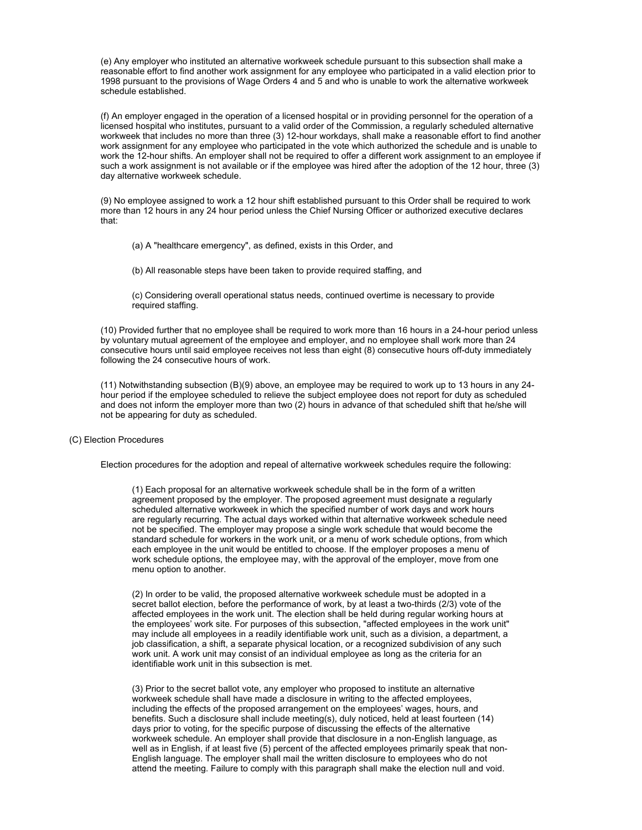(e) Any employer who instituted an alternative workweek schedule pursuant to this subsection shall make a 1998 pursuant to the provisions of Wage Orders 4 and 5 and who is unable to work the alternative workweek reasonable effort to find another work assignment for any employee who participated in a valid election prior to schedule established.

 (f) An employer engaged in the operation of a licensed hospital or in providing personnel for the operation of a licensed hospital who institutes, pursuant to a valid order of the Commission, a regularly scheduled alternative work assignment for any employee who participated in the vote which authorized the schedule and is unable to work the 12-hour shifts. An employer shall not be required to offer a different work assignment to an employee if day alternative workweek schedule. workweek that includes no more than three (3) 12-hour workdays, shall make a reasonable effort to find another such a work assignment is not available or if the employee was hired after the adoption of the 12 hour, three (3)

 (9) No employee assigned to work a 12 hour shift established pursuant to this Order shall be required to work more than 12 hours in any 24 hour period unless the Chief Nursing Officer or authorized executive declares that:

(a) A "healthcare emergency", as defined, exists in this Order, and

(b) All reasonable steps have been taken to provide required staffing, and

(c) Considering overall operational status needs, continued overtime is necessary to provide required staffing.

 (10) Provided further that no employee shall be required to work more than 16 hours in a 24-hour period unless consecutive hours until said employee receives not less than eight (8) consecutive hours off-duty immediately by voluntary mutual agreement of the employee and employer, and no employee shall work more than 24 following the 24 consecutive hours of work.

 (11) Notwithstanding subsection (B)(9) above, an employee may be required to work up to 13 hours in any 24 and does not inform the employer more than two (2) hours in advance of that scheduled shift that he/she will not be appearing for duty as scheduled. hour period if the employee scheduled to relieve the subject employee does not report for duty as scheduled

#### (C) Election Procedures

Election procedures for the adoption and repeal of alternative workweek schedules require the following:

 (1) Each proposal for an alternative workweek schedule shall be in the form of a written are regularly recurring. The actual days worked within that alternative workweek schedule need not be specified. The employer may propose a single work schedule that would become the each employee in the unit would be entitled to choose. If the employer proposes a menu of work schedule options, the employee may, with the approval of the employer, move from one menu option to another. agreement proposed by the employer. The proposed agreement must designate a regularly scheduled alternative workweek in which the specified number of work days and work hours standard schedule for workers in the work unit, or a menu of work schedule options, from which

 (2) In order to be valid, the proposed alternative workweek schedule must be adopted in a secret ballot election, before the performance of work, by at least a two-thirds (2/3) vote of the affected employees in the work unit. The election shall be held during regular working hours at work unit. A work unit may consist of an individual employee as long as the criteria for an identifiable work unit in this subsection is met. the employees' work site. For purposes of this subsection, "affected employees in the work unit" may include all employees in a readily identifiable work unit, such as a division, a department, a job classification, a shift, a separate physical location, or a recognized subdivision of any such

 workweek schedule shall have made a disclosure in writing to the affected employees, including the effects of the proposed arrangement on the employees' wages, hours, and benefits. Such a disclosure shall include meeting(s), duly noticed, held at least fourteen (14) days prior to voting, for the specific purpose of discussing the effects of the alternative workweek schedule. An employer shall provide that disclosure in a non-English language, as (3) Prior to the secret ballot vote, any employer who proposed to institute an alternative well as in English, if at least five (5) percent of the affected employees primarily speak that non-English language. The employer shall mail the written disclosure to employees who do not attend the meeting. Failure to comply with this paragraph shall make the election null and void.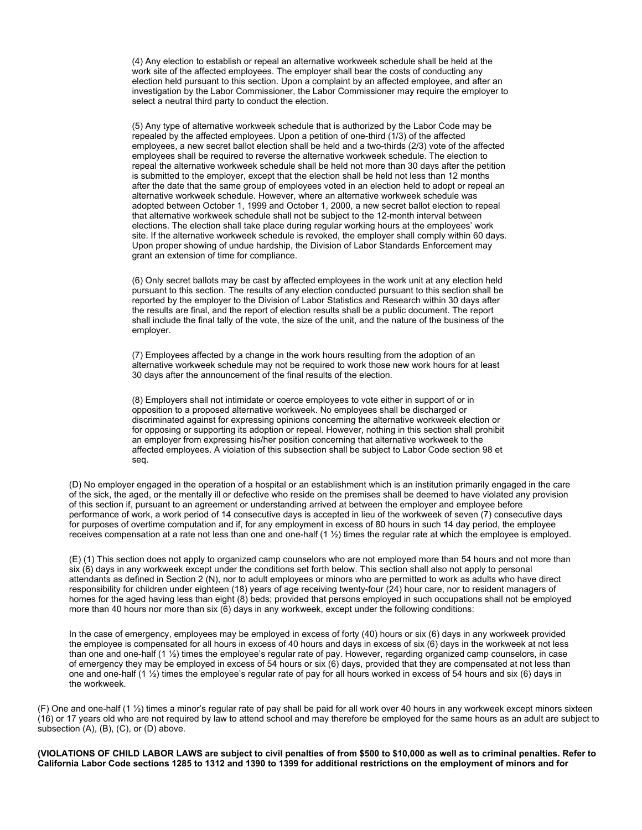(4) Any election to establish or repeal an alternative workweek schedule shall be held at the work site of the affected employees. The employer shall bear the costs of conducting any election held pursuant to this section. Upon a complaint by an affected employee, and after an investigation by the Labor Commissioner, the Labor Commissioner may require the employer to select a neutral third party to conduct the election.

 repealed by the affected employees. Upon a petition of one-third (1/3) of the affected employees shall be required to reverse the alternative workweek schedule. The election to repeal the alternative workweek schedule shall be held not more than 30 days after the petition is submitted to the employer, except that the election shall be held not less than 12 months after the date that the same group of employees voted in an election held to adopt or repeal an alternative workweek schedule. However, where an alternative workweek schedule was adopted between October 1, 1999 and October 1, 2000, a new secret ballot election to repeal that alternative workweek schedule shall not be subject to the 12-month interval between elections. The election shall take place during regular working hours at the employees' work site. If the alternative workweek schedule is revoked, the employer shall comply within 60 days. (5) Any type of alternative workweek schedule that is authorized by the Labor Code may be employees, a new secret ballot election shall be held and a two-thirds (2/3) vote of the affected Upon proper showing of undue hardship, the Division of Labor Standards Enforcement may grant an extension of time for compliance.

 (6) Only secret ballots may be cast by affected employees in the work unit at any election held reported by the employer to the Division of Labor Statistics and Research within 30 days after the results are final, and the report of election results shall be a public document. The report shall include the final tally of the vote, the size of the unit, and the nature of the business of the pursuant to this section. The results of any election conducted pursuant to this section shall be employer.

 (7) Employees affected by a change in the work hours resulting from the adoption of an alternative workweek schedule may not be required to work those new work hours for at least 30 days after the announcement of the final results of the election.

 (8) Employers shall not intimidate or coerce employees to vote either in support of or in discriminated against for expressing opinions concerning the alternative workweek election or for opposing or supporting its adoption or repeal. However, nothing in this section shall prohibit affected employees. A violation of this subsection shall be subject to Labor Code section 98 et opposition to a proposed alternative workweek. No employees shall be discharged or an employer from expressing his/her position concerning that alternative workweek to the seq.

 (D) No employer engaged in the operation of a hospital or an establishment which is an institution primarily engaged in the care of the sick, the aged, or the mentally ill or defective who reside on the premises shall be deemed to have violated any provision of this section if, pursuant to an agreement or understanding arrived at between the employer and employee before performance of work, a work period of 14 consecutive days is accepted in lieu of the workweek of seven (7) consecutive days for purposes of overtime computation and if, for any employment in excess of 80 hours in such 14 day period, the employee receives compensation at a rate not less than one and one-half (1 ½) times the regular rate at which the employee is employed.

 six (6) days in any workweek except under the conditions set forth below. This section shall also not apply to personal responsibility for children under eighteen (18) years of age receiving twenty-four (24) hour care, nor to resident managers of homes for the aged having less than eight (8) beds; provided that persons employed in such occupations shall not be employed more than 40 hours nor more than six (6) days in any workweek, except under the following conditions: more than 40 hours nor more than six (6) days in any workweek, except under the following conditions:<br>In the case of emergency, employees may be employed in excess of forty (40) hours or six (6) days in any workweek provid (E) (1) This section does not apply to organized camp counselors who are not employed more than 54 hours and not more than attendants as defined in Section 2 (N), nor to adult employees or minors who are permitted to work as adults who have direct

 the employee is compensated for all hours in excess of 40 hours and days in excess of six (6) days in the workweek at not less than one and one-half (1 ½) times the employee's regular rate of pay. However, regarding organized camp counselors, in case of emergency they may be employed in excess of 54 hours or six (6) days, provided that they are compensated at not less than one and one-half (1 ½) times the employee's regular rate of pay for all hours worked in excess of 54 hours and six (6) days in the workweek.

 (F) One and one-half (1 ½) times a minor's regular rate of pay shall be paid for all work over 40 hours in any workweek except minors sixteen (16) or 17 years old who are not required by law to attend school and may therefore be employed for the same hours as an adult are subject to subsection (A), (B), (C), or (D) above.

**(VIOLATIONS OF CHILD LABOR LAWS are subject to civil penalties of from \$500 to \$10,000 as well as to criminal penalties. Refer to California Labor Code sections 1285 to 1312 and 1390 to 1399 for additional restrictions on the employment of minors and for**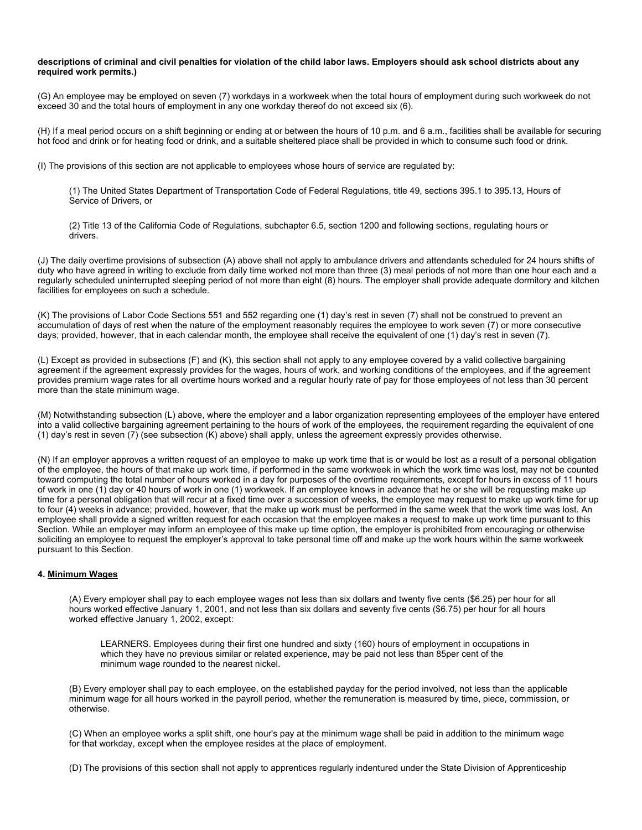### **descriptions of criminal and civil penalties for violation of the child labor laws. Employers should ask school districts about any required work permits.)**

 (G) An employee may be employed on seven (7) workdays in a workweek when the total hours of employment during such workweek do not exceed 30 and the total hours of employment in any one workday thereof do not exceed six (6).

 (H) If a meal period occurs on a shift beginning or ending at or between the hours of 10 p.m. and 6 a.m., facilities shall be available for securing hot food and drink or for heating food or drink, and a suitable sheltered place shall be provided in which to consume such food or drink.

(I) The provisions of this section are not applicable to employees whose hours of service are regulated by:

 (1) The United States Department of Transportation Code of Federal Regulations, title 49, sections 395.1 to 395.13, Hours of Service of Drivers, or

 (2) Title 13 of the California Code of Regulations, subchapter 6.5, section 1200 and following sections, regulating hours or drivers.

 (J) The daily overtime provisions of subsection (A) above shall not apply to ambulance drivers and attendants scheduled for 24 hours shifts of duty who have agreed in writing to exclude from daily time worked not more than three (3) meal periods of not more than one hour each and a regularly scheduled uninterrupted sleeping period of not more than eight (8) hours. The employer shall provide adequate dormitory and kitchen facilities for employees on such a schedule.

 (K) The provisions of Labor Code Sections 551 and 552 regarding one (1) day's rest in seven (7) shall not be construed to prevent an accumulation of days of rest when the nature of the employment reasonably requires the employee to work seven (7) or more consecutive days; provided, however, that in each calendar month, the employee shall receive the equivalent of one (1) day's rest in seven (7).

 (L) Except as provided in subsections (F) and (K), this section shall not apply to any employee covered by a valid collective bargaining agreement if the agreement expressly provides for the wages, hours of work, and working conditions of the employees, and if the agreement provides premium wage rates for all overtime hours worked and a regular hourly rate of pay for those employees of not less than 30 percent more than the state minimum wage.

 (M) Notwithstanding subsection (L) above, where the employer and a labor organization representing employees of the employer have entered into a valid collective bargaining agreement pertaining to the hours of work of the employees, the requirement regarding the equivalent of one  $(1)$  day's rest in seven  $(7)$  (see subsection  $(K)$  above) shall apply, unless the agreement expressly provides otherwise.

 (N) If an employer approves a written request of an employee to make up work time that is or would be lost as a result of a personal obligation of the employee, the hours of that make up work time, if performed in the same workweek in which the work time was lost, may not be counted toward computing the total number of hours worked in a day for purposes of the overtime requirements, except for hours in excess of 11 hours of work in one (1) day or 40 hours of work in one (1) workweek. If an employee knows in advance that he or she will be requesting make up to four (4) weeks in advance; provided, however, that the make up work must be performed in the same week that the work time was lost. An employee shall provide a signed written request for each occasion that the employee makes a request to make up work time pursuant to this Section. While an employer may inform an employee of this make up time option, the employer is prohibited from encouraging or otherwise soliciting an employee to request the employer's approval to take personal time off and make up the work hours within the same workweek pursuant to this Section. time for a personal obligation that will recur at a fixed time over a succession of weeks, the employee may request to make up work time for up

# **4. Minimum Wages**

 (A) Every employer shall pay to each employee wages not less than six dollars and twenty five cents (\$6.25) per hour for all hours worked effective January 1, 2001, and not less than six dollars and seventy five cents (\$6.75) per hour for all hours worked effective January 1, 2002, except:

 LEARNERS. Employees during their first one hundred and sixty (160) hours of employment in occupations in which they have no previous similar or related experience, may be paid not less than 85per cent of the minimum wage rounded to the nearest nickel.

minimum wage rounded to the nearest nickel.<br>(B) Every employer shall pay to each employee, on the established payday for the period involved, not less than the applicable) minimum wage for all hours worked in the payroll period, whether the remuneration is measured by time, piece, commission, or otherwise.

otherwise.<br>(C) When an employee works a split shift, one hour's pay at the minimum wage shall be paid in addition to the minimum wage for that workday, except when the employee resides at the place of employment.

(D) The provisions of this section shall not apply to apprentices regularly indentured under the State Division of Apprenticeship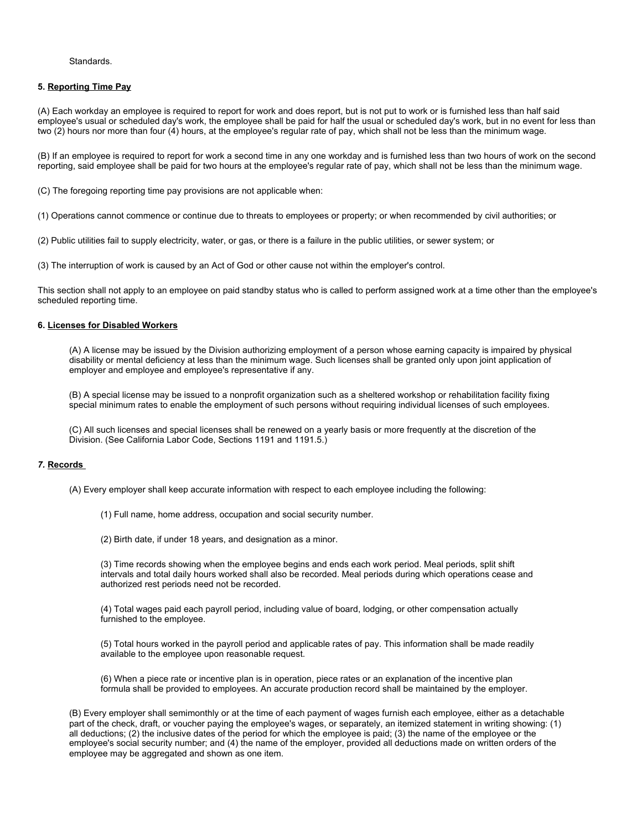Standards.

## **5. Reporting Time Pay**

 (A) Each workday an employee is required to report for work and does report, but is not put to work or is furnished less than half said employee's usual or scheduled day's work, the employee shall be paid for half the usual or scheduled day's work, but in no event for less than two (2) hours nor more than four (4) hours, at the employee's regular rate of pay, which shall not be less than the minimum wage.

 (B) If an employee is required to report for work a second time in any one workday and is furnished less than two hours of work on the second reporting, said employee shall be paid for two hours at the employee's regular rate of pay, which shall not be less than the minimum wage.

(C) The foregoing reporting time pay provisions are not applicable when:

(1) Operations cannot commence or continue due to threats to employees or property; or when recommended by civil authorities; or

(2) Public utilities fail to supply electricity, water, or gas, or there is a failure in the public utilities, or sewer system; or

(3) The interruption of work is caused by an Act of God or other cause not within the employer's control.

 This section shall not apply to an employee on paid standby status who is called to perform assigned work at a time other than the employee's scheduled reporting time.

### **6. Licenses for Disabled Workers**

(A) A license may be issued by the Division authorizing employment of a person whose earning capacity is impaired by physical disability or mental deficiency at less than the minimum wage. Such licenses shall be granted only upon joint application of employer and employee and employee's representative if any.

(B) A special license may be issued to a nonprofit organization such as a sheltered workshop or rehabilitation facility fixing special minimum rates to enable the employment of such persons without requiring individual licenses of such employees.

(C) All such licenses and special licenses shall be renewed on a yearly basis or more frequently at the discretion of the Division. (See California Labor Code, Sections 1191 and 1191.5.)

## *7.* **Records**

(A) Every employer shall keep accurate information with respect to each employee including the following:

- (1) Full name, home address, occupation and social security number.
- (2) Birth date, if under 18 years, and designation as a minor.

 (3) Time records showing when the employee begins and ends each work period. Meal periods, split shift intervals and total daily hours worked shall also be recorded. Meal periods during which operations cease and authorized rest periods need not be recorded.

authorized rest periods need not be recorded.<br>(4) Total wages paid each payroll period, including value of board, lodging, or other compensation actually furnished to the employee.

 (5) Total hours worked in the payroll period and applicable rates of pay. This information shall be made readily available to the employee upon reasonable request.

 (6) When a piece rate or incentive plan is in operation, piece rates or an explanation of the incentive plan formula shall be provided to employees. An accurate production record shall be maintained by the employer.

 part of the check, draft, or voucher paying the employee's wages, or separately, an itemized statement in writing showing: (1) all deductions; (2) the inclusive dates of the period for which the employee is paid; (3) the name of the employee or the employee's social security number; and (4) the name of the employer, provided all deductions made on written orders of the employee may be aggregated and shown as one item. (B) Every employer shall semimonthly or at the time of each payment of wages furnish each employee, either as a detachable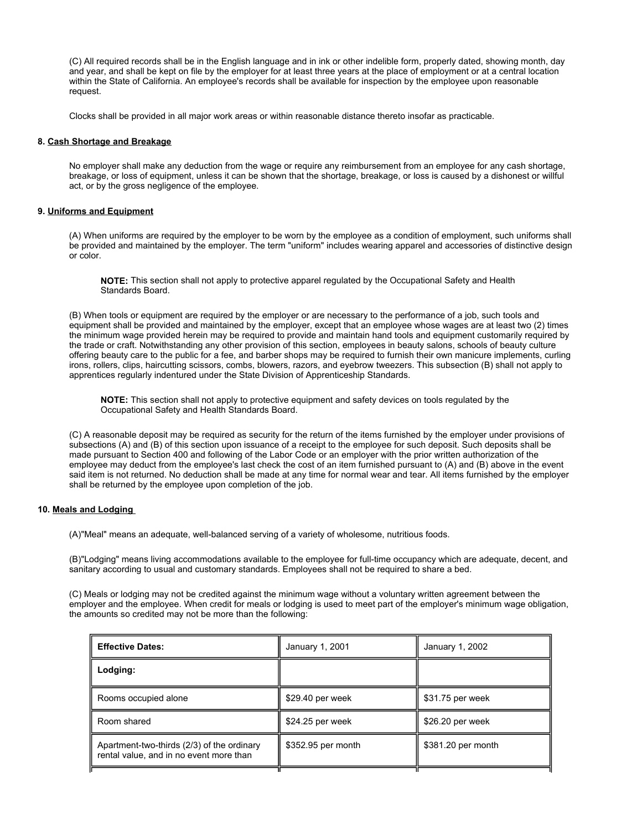(C) All required records shall be in the English language and in ink or other indelible form, properly dated, showing month, day and year, and shall be kept on file by the employer for at least three years at the place of employment or at a central location within the State of California. An employee's records shall be available for inspection by the employee upon reasonable request.

request.<br>Clocks shall be provided in all major work areas or within reasonable distance thereto insofar as practicable.

### **8. Cash Shortage and Breakage**

 No employer shall make any deduction from the wage or require any reimbursement from an employee for any cash shortage, breakage, or loss of equipment, unless it can be shown that the shortage, breakage, or loss is caused by a dishonest or willful act, or by the gross negligence of the employee.

### **9. Uniforms and Equipment**

 (A) When uniforms are required by the employer to be worn by the employee as a condition of employment, such uniforms shall be provided and maintained by the employer. The term "uniform" includes wearing apparel and accessories of distinctive design or color.

 **NOTE:** This section shall not apply to protective apparel regulated by the Occupational Safety and Health Standards Board.

Standards Board.<br>(B) When tools or equipment are required by the employer or are necessary to the performance of a job, such tools and equipment shall be provided and maintained by the employer, except that an employee whose wages are at least two (2) times the minimum wage provided herein may be required to provide and maintain hand tools and equipment customarily required by the trade or craft. Notwithstanding any other provision of this section, employees in beauty salons, schools of beauty culture offering beauty care to the public for a fee, and barber shops may be required to furnish their own manicure implements, curling irons, rollers, clips, haircutting scissors, combs, blowers, razors, and eyebrow tweezers. This subsection (B) shall not apply to apprentices regularly indentured under the State Division of Apprenticeship Standards.

 **NOTE:** This section shall not apply to protective equipment and safety devices on tools regulated by the Occupational Safety and Health Standards Board.

 (C) A reasonable deposit may be required as security for the return of the items furnished by the employer under provisions of subsections (A) and (B) of this section upon issuance of a receipt to the employee for such deposit. Such deposits shall be made pursuant to Section 400 and following of the Labor Code or an employer with the prior written authorization of the employee may deduct from the employee's last check the cost of an item furnished pursuant to (A) and (B) above in the event said item is not returned. No deduction shall be made at any time for normal wear and tear. All items furnished by the employer shall be returned by the employee upon completion of the job.

## **10. Meals and Lodging**

(A)"Meal" means an adequate, well-balanced serving of a variety of wholesome, nutritious foods.

(B)"Lodging" means living accommodations available to the employee for full-time occupancy which are adequate, decent, and sanitary according to usual and customary standards. Employees shall not be required to share a bed.

 (C) Meals or lodging may not be credited against the minimum wage without a voluntary written agreement between the employer and the employee. When credit for meals or lodging is used to meet part of the employer's minimum wage obligation, the amounts so credited may not be more than the following:

| <b>Effective Dates:</b>                                                               | January 1, 2001    | January 1, 2002    |
|---------------------------------------------------------------------------------------|--------------------|--------------------|
| Lodging:                                                                              |                    |                    |
| Rooms occupied alone                                                                  | \$29.40 per week   | \$31.75 per week   |
| Room shared                                                                           | \$24.25 per week   | \$26.20 per week   |
| Apartment-two-thirds (2/3) of the ordinary<br>rental value, and in no event more than | \$352.95 per month | \$381.20 per month |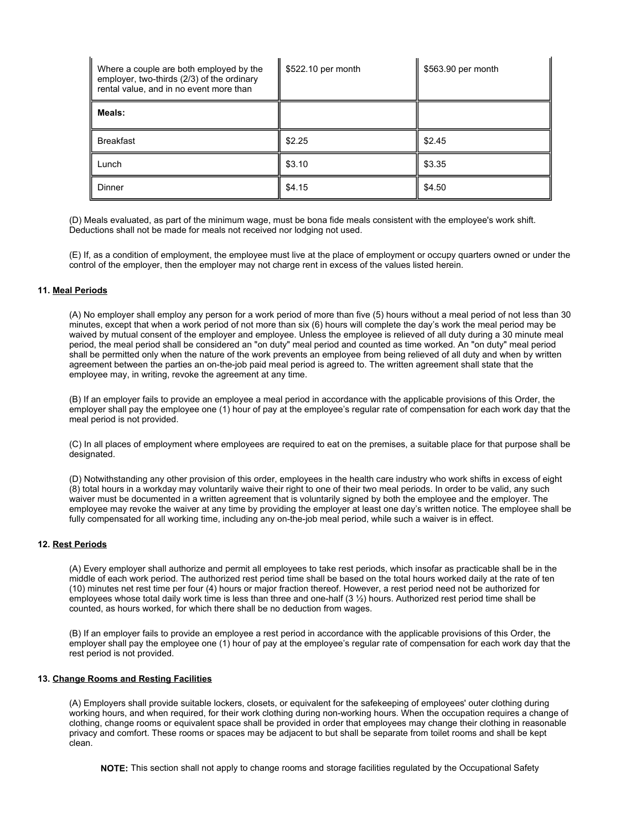| Where a couple are both employed by the<br>employer, two-thirds (2/3) of the ordinary<br>rental value, and in no event more than | \$522.10 per month | \$563.90 per month |
|----------------------------------------------------------------------------------------------------------------------------------|--------------------|--------------------|
| Meals:                                                                                                                           |                    |                    |
| <b>Breakfast</b>                                                                                                                 | \$2.25             | \$2.45             |
| Lunch                                                                                                                            | \$3.10             | \$3.35             |
| <b>Dinner</b>                                                                                                                    | \$4.15             | \$4.50             |

 (D) Meals evaluated, as part of the minimum wage, must be bona fide meals consistent with the employee's work shift. Deductions shall not be made for meals not received nor lodging not used.

 (E) If, as a condition of employment, the employee must live at the place of employment or occupy quarters owned or under the control of the employer, then the employer may not charge rent in excess of the values listed herein.

## **11. Meal Periods**

 (A) No employer shall employ any person for a work period of more than five (5) hours without a meal period of not less than 30 minutes, except that when a work period of not more than six (6) hours will complete the day's work the meal period may be waived by mutual consent of the employer and employee. Unless the employee is relieved of all duty during a 30 minute meal period, the meal period shall be considered an "on duty" meal period and counted as time worked. An "on duty" meal period shall be permitted only when the nature of the work prevents an employee from being relieved of all duty and when by written agreement between the parties an on-the-job paid meal period is agreed to. The written agreement shall state that the employee may, in writing, revoke the agreement at any time.

 (B) If an employer fails to provide an employee a meal period in accordance with the applicable provisions of this Order, the employer shall pay the employee one (1) hour of pay at the employee's regular rate of compensation for each work day that the meal period is not provided.

 (C) In all places of employment where employees are required to eat on the premises, a suitable place for that purpose shall be designated.

designated.<br>(D) Notwithstanding any other provision of this order, employees in the health care industry who work shifts in excess of eight (8) total hours in a workday may voluntarily waive their right to one of their two meal periods. In order to be valid, any such waiver must be documented in a written agreement that is voluntarily signed by both the employee and the employer. The employee may revoke the waiver at any time by providing the employer at least one day's written notice. The employee shall be fully compensated for all working time, including any on-the-job meal period, while such a waiver is in effect.

#### **12. Rest Periods**

 (A) Every employer shall authorize and permit all employees to take rest periods, which insofar as practicable shall be in the middle of each work period. The authorized rest period time shall be based on the total hours worked daily at the rate of ten (10) minutes net rest time per four (4) hours or major fraction thereof. However, a rest period need not be authorized for employees whose total daily work time is less than three and one-half (3 ½) hours. Authorized rest period time shall be counted, as hours worked, for which there shall be no deduction from wages.

 (B) If an employer fails to provide an employee a rest period in accordance with the applicable provisions of this Order, the employer shall pay the employee one (1) hour of pay at the employee's regular rate of compensation for each work day that the rest period is not provided.

### **13. Change Rooms and Resting Facilities**

 (A) Employers shall provide suitable lockers, closets, or equivalent for the safekeeping of employees' outer clothing during working hours, and when required, for their work clothing during non-working hours. When the occupation requires a change of clothing, change rooms or equivalent space shall be provided in order that employees may change their clothing in reasonable privacy and comfort. These rooms or spaces may be adjacent to but shall be separate from toilet rooms and shall be kept clean.

**NOTE:** This section shall not apply to change rooms and storage facilities regulated by the Occupational Safety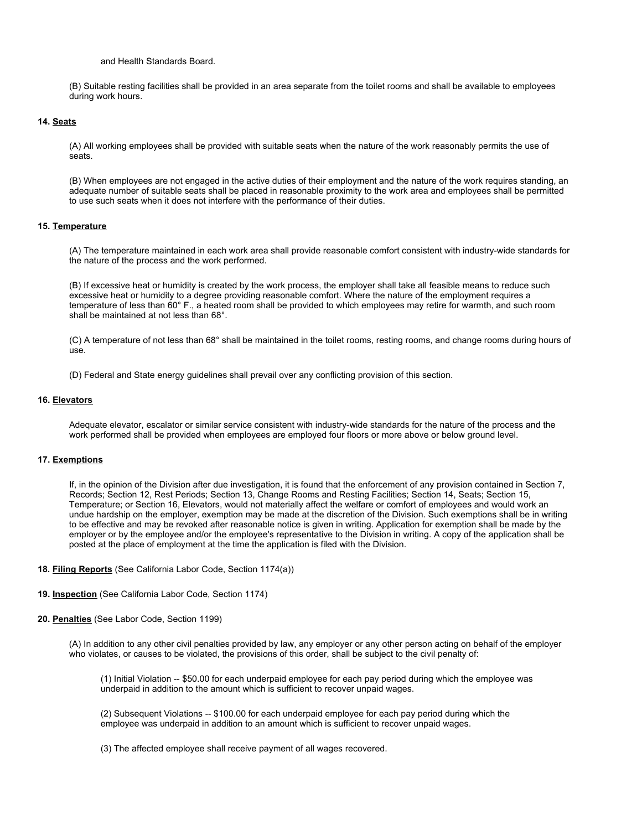and Health Standards Board.

 during work hours. (B) Suitable resting facilities shall be provided in an area separate from the toilet rooms and shall be available to employees

### **14. Seats**

seats (A) All working employees shall be provided with suitable seats when the nature of the work reasonably permits the use of

seats.<br>(B) When employees are not engaged in the active duties of their employment and the nature of the work requires standing, an adequate number of suitable seats shall be placed in reasonable proximity to the work area and employees shall be permitted to use such seats when it does not interfere with the performance of their duties.

## **15. Temperature**

 (A) The temperature maintained in each work area shall provide reasonable comfort consistent with industry-wide standards for the nature of the process and the work performed.

 (B) If excessive heat or humidity is created by the work process, the employer shall take all feasible means to reduce such excessive heat or humidity to a degree providing reasonable comfort. Where the nature of the employment requires a temperature of less than 60° F., a heated room shall be provided to which employees may retire for warmth, and such room shall be maintained at not less than 68°.

 (C) A temperature of not less than 68° shall be maintained in the toilet rooms, resting rooms, and change rooms during hours of **USA** 

use.<br>(D) Federal and State energy guidelines shall prevail over any conflicting provision of this section.

### **16. Elevators**

 Adequate elevator, escalator or similar service consistent with industry-wide standards for the nature of the process and the work performed shall be provided when employees are employed four floors or more above or below ground level.

# **17. Exemptions**

 Temperature; or Section 16, Elevators, would not materially affect the welfare or comfort of employees and would work an undue hardship on the employer, exemption may be made at the discretion of the Division. Such exemptions shall be in writing to be effective and may be revoked after reasonable notice is given in writing. Application for exemption shall be made by the employer or by the employee and/or the employee's representative to the Division in writing. A copy of the application shall be posted at the place of employment at the time the application is filed with the Division. If, in the opinion of the Division after due investigation, it is found that the enforcement of any provision contained in Section 7, Records; Section 12, Rest Periods; Section 13, Change Rooms and Resting Facilities; Section 14, Seats; Section 15,

- **18. Filing Reports** (See California Labor Code, Section 1174(a))
- **19. Inspection** (See California Labor Code, Section 1174)
- **20. Penalties** (See Labor Code, Section 1199)

 (A) In addition to any other civil penalties provided by law, any employer or any other person acting on behalf of the employer who violates, or causes to be violated, the provisions of this order, shall be subject to the civil penalty of:

 underpaid in addition to the amount which is sufficient to recover unpaid wages. (1) Initial Violation -- \$50.00 for each underpaid employee for each pay period during which the employee was

 (2) Subsequent Violations -- \$100.00 for each underpaid employee for each pay period during which the employee was underpaid in addition to an amount which is sufficient to recover unpaid wages.

(3) The affected employee shall receive payment of all wages recovered.